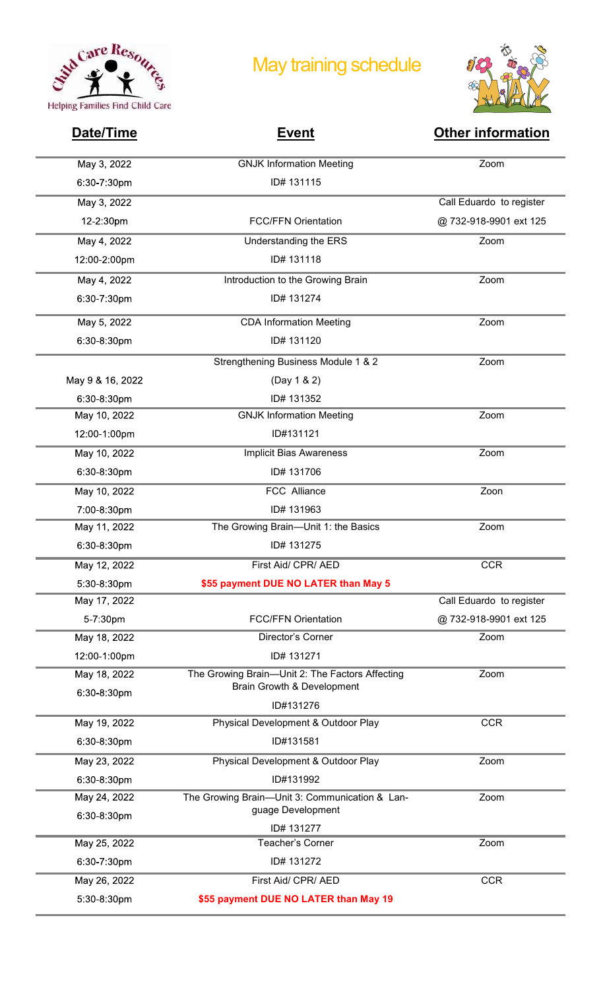

## May training schedule



| May 3, 2022<br><b>GNJK Information Meeting</b><br>Zoom<br>6:30-7:30pm<br>ID# 131115<br>May 3, 2022<br>Call Eduardo to register<br><b>FCC/FFN Orientation</b><br>@732-918-9901 ext 125<br>12-2:30pm<br>May 4, 2022<br>Understanding the ERS<br>Zoom<br>ID# 131118<br>12:00-2:00pm<br>May 4, 2022<br>Introduction to the Growing Brain<br>Zoom<br>ID# 131274<br>6:30-7:30pm<br>May 5, 2022<br>Zoom<br><b>CDA Information Meeting</b><br>6:30-8:30pm<br>ID# 131120<br>Strengthening Business Module 1 & 2<br>Zoom<br>May 9 & 16, 2022<br>(Day 1 & 2)<br>ID# 131352<br>6:30-8:30pm<br>May 10, 2022<br><b>GNJK Information Meeting</b><br>Zoom<br>ID#131121<br>12:00-1:00pm<br>May 10, 2022<br>Zoom<br><b>Implicit Bias Awareness</b><br>ID# 131706<br>6:30-8:30pm<br>May 10, 2022<br>FCC Alliance<br>Zoon<br>7:00-8:30pm<br>ID# 131963<br>May 11, 2022<br>The Growing Brain-Unit 1: the Basics<br>Zoom<br>ID# 131275<br>6:30-8:30pm<br><b>CCR</b><br>May 12, 2022<br>First Aid/ CPR/ AED<br>\$55 payment DUE NO LATER than May 5<br>5:30-8:30pm<br>May 17, 2022<br>Call Eduardo to register<br><b>FCC/FFN Orientation</b><br>@732-918-9901 ext 125<br>5-7:30pm<br>May 18, 2022<br>Zoom<br>Director's Corner<br>12:00-1:00pm<br>ID# 131271<br>May 18, 2022<br>The Growing Brain-Unit 2: The Factors Affecting<br>Zoom<br>Brain Growth & Development<br>6:30-8:30pm<br>ID#131276<br>May 19, 2022<br>Physical Development & Outdoor Play<br><b>CCR</b><br>6:30-8:30pm<br>ID#131581<br>Zoom<br>May 23, 2022<br>Physical Development & Outdoor Play<br>6:30-8:30pm<br>ID#131992<br>May 24, 2022<br>Zoom<br>The Growing Brain-Unit 3: Communication & Lan-<br>guage Development<br>6:30-8:30pm<br>ID# 131277<br>Zoom<br>May 25, 2022<br>Teacher's Corner<br>6:30-7:30pm<br>ID# 131272<br>First Aid/ CPR/ AED<br><b>CCR</b><br>May 26, 2022<br>5:30-8:30pm<br>\$55 payment DUE NO LATER than May 19 | Date/Time | <b>Event</b> | <b>Other information</b> |
|------------------------------------------------------------------------------------------------------------------------------------------------------------------------------------------------------------------------------------------------------------------------------------------------------------------------------------------------------------------------------------------------------------------------------------------------------------------------------------------------------------------------------------------------------------------------------------------------------------------------------------------------------------------------------------------------------------------------------------------------------------------------------------------------------------------------------------------------------------------------------------------------------------------------------------------------------------------------------------------------------------------------------------------------------------------------------------------------------------------------------------------------------------------------------------------------------------------------------------------------------------------------------------------------------------------------------------------------------------------------------------------------------------------------------------------------------------------------------------------------------------------------------------------------------------------------------------------------------------------------------------------------------------------------------------------------------------------------------------------------------------------------------------------------------------------------------------------------------------------------------------------|-----------|--------------|--------------------------|
|                                                                                                                                                                                                                                                                                                                                                                                                                                                                                                                                                                                                                                                                                                                                                                                                                                                                                                                                                                                                                                                                                                                                                                                                                                                                                                                                                                                                                                                                                                                                                                                                                                                                                                                                                                                                                                                                                          |           |              |                          |
|                                                                                                                                                                                                                                                                                                                                                                                                                                                                                                                                                                                                                                                                                                                                                                                                                                                                                                                                                                                                                                                                                                                                                                                                                                                                                                                                                                                                                                                                                                                                                                                                                                                                                                                                                                                                                                                                                          |           |              |                          |
|                                                                                                                                                                                                                                                                                                                                                                                                                                                                                                                                                                                                                                                                                                                                                                                                                                                                                                                                                                                                                                                                                                                                                                                                                                                                                                                                                                                                                                                                                                                                                                                                                                                                                                                                                                                                                                                                                          |           |              |                          |
|                                                                                                                                                                                                                                                                                                                                                                                                                                                                                                                                                                                                                                                                                                                                                                                                                                                                                                                                                                                                                                                                                                                                                                                                                                                                                                                                                                                                                                                                                                                                                                                                                                                                                                                                                                                                                                                                                          |           |              |                          |
|                                                                                                                                                                                                                                                                                                                                                                                                                                                                                                                                                                                                                                                                                                                                                                                                                                                                                                                                                                                                                                                                                                                                                                                                                                                                                                                                                                                                                                                                                                                                                                                                                                                                                                                                                                                                                                                                                          |           |              |                          |
|                                                                                                                                                                                                                                                                                                                                                                                                                                                                                                                                                                                                                                                                                                                                                                                                                                                                                                                                                                                                                                                                                                                                                                                                                                                                                                                                                                                                                                                                                                                                                                                                                                                                                                                                                                                                                                                                                          |           |              |                          |
|                                                                                                                                                                                                                                                                                                                                                                                                                                                                                                                                                                                                                                                                                                                                                                                                                                                                                                                                                                                                                                                                                                                                                                                                                                                                                                                                                                                                                                                                                                                                                                                                                                                                                                                                                                                                                                                                                          |           |              |                          |
|                                                                                                                                                                                                                                                                                                                                                                                                                                                                                                                                                                                                                                                                                                                                                                                                                                                                                                                                                                                                                                                                                                                                                                                                                                                                                                                                                                                                                                                                                                                                                                                                                                                                                                                                                                                                                                                                                          |           |              |                          |
|                                                                                                                                                                                                                                                                                                                                                                                                                                                                                                                                                                                                                                                                                                                                                                                                                                                                                                                                                                                                                                                                                                                                                                                                                                                                                                                                                                                                                                                                                                                                                                                                                                                                                                                                                                                                                                                                                          |           |              |                          |
|                                                                                                                                                                                                                                                                                                                                                                                                                                                                                                                                                                                                                                                                                                                                                                                                                                                                                                                                                                                                                                                                                                                                                                                                                                                                                                                                                                                                                                                                                                                                                                                                                                                                                                                                                                                                                                                                                          |           |              |                          |
|                                                                                                                                                                                                                                                                                                                                                                                                                                                                                                                                                                                                                                                                                                                                                                                                                                                                                                                                                                                                                                                                                                                                                                                                                                                                                                                                                                                                                                                                                                                                                                                                                                                                                                                                                                                                                                                                                          |           |              |                          |
|                                                                                                                                                                                                                                                                                                                                                                                                                                                                                                                                                                                                                                                                                                                                                                                                                                                                                                                                                                                                                                                                                                                                                                                                                                                                                                                                                                                                                                                                                                                                                                                                                                                                                                                                                                                                                                                                                          |           |              |                          |
|                                                                                                                                                                                                                                                                                                                                                                                                                                                                                                                                                                                                                                                                                                                                                                                                                                                                                                                                                                                                                                                                                                                                                                                                                                                                                                                                                                                                                                                                                                                                                                                                                                                                                                                                                                                                                                                                                          |           |              |                          |
|                                                                                                                                                                                                                                                                                                                                                                                                                                                                                                                                                                                                                                                                                                                                                                                                                                                                                                                                                                                                                                                                                                                                                                                                                                                                                                                                                                                                                                                                                                                                                                                                                                                                                                                                                                                                                                                                                          |           |              |                          |
|                                                                                                                                                                                                                                                                                                                                                                                                                                                                                                                                                                                                                                                                                                                                                                                                                                                                                                                                                                                                                                                                                                                                                                                                                                                                                                                                                                                                                                                                                                                                                                                                                                                                                                                                                                                                                                                                                          |           |              |                          |
|                                                                                                                                                                                                                                                                                                                                                                                                                                                                                                                                                                                                                                                                                                                                                                                                                                                                                                                                                                                                                                                                                                                                                                                                                                                                                                                                                                                                                                                                                                                                                                                                                                                                                                                                                                                                                                                                                          |           |              |                          |
|                                                                                                                                                                                                                                                                                                                                                                                                                                                                                                                                                                                                                                                                                                                                                                                                                                                                                                                                                                                                                                                                                                                                                                                                                                                                                                                                                                                                                                                                                                                                                                                                                                                                                                                                                                                                                                                                                          |           |              |                          |
|                                                                                                                                                                                                                                                                                                                                                                                                                                                                                                                                                                                                                                                                                                                                                                                                                                                                                                                                                                                                                                                                                                                                                                                                                                                                                                                                                                                                                                                                                                                                                                                                                                                                                                                                                                                                                                                                                          |           |              |                          |
|                                                                                                                                                                                                                                                                                                                                                                                                                                                                                                                                                                                                                                                                                                                                                                                                                                                                                                                                                                                                                                                                                                                                                                                                                                                                                                                                                                                                                                                                                                                                                                                                                                                                                                                                                                                                                                                                                          |           |              |                          |
|                                                                                                                                                                                                                                                                                                                                                                                                                                                                                                                                                                                                                                                                                                                                                                                                                                                                                                                                                                                                                                                                                                                                                                                                                                                                                                                                                                                                                                                                                                                                                                                                                                                                                                                                                                                                                                                                                          |           |              |                          |
|                                                                                                                                                                                                                                                                                                                                                                                                                                                                                                                                                                                                                                                                                                                                                                                                                                                                                                                                                                                                                                                                                                                                                                                                                                                                                                                                                                                                                                                                                                                                                                                                                                                                                                                                                                                                                                                                                          |           |              |                          |
|                                                                                                                                                                                                                                                                                                                                                                                                                                                                                                                                                                                                                                                                                                                                                                                                                                                                                                                                                                                                                                                                                                                                                                                                                                                                                                                                                                                                                                                                                                                                                                                                                                                                                                                                                                                                                                                                                          |           |              |                          |
|                                                                                                                                                                                                                                                                                                                                                                                                                                                                                                                                                                                                                                                                                                                                                                                                                                                                                                                                                                                                                                                                                                                                                                                                                                                                                                                                                                                                                                                                                                                                                                                                                                                                                                                                                                                                                                                                                          |           |              |                          |
|                                                                                                                                                                                                                                                                                                                                                                                                                                                                                                                                                                                                                                                                                                                                                                                                                                                                                                                                                                                                                                                                                                                                                                                                                                                                                                                                                                                                                                                                                                                                                                                                                                                                                                                                                                                                                                                                                          |           |              |                          |
|                                                                                                                                                                                                                                                                                                                                                                                                                                                                                                                                                                                                                                                                                                                                                                                                                                                                                                                                                                                                                                                                                                                                                                                                                                                                                                                                                                                                                                                                                                                                                                                                                                                                                                                                                                                                                                                                                          |           |              |                          |
|                                                                                                                                                                                                                                                                                                                                                                                                                                                                                                                                                                                                                                                                                                                                                                                                                                                                                                                                                                                                                                                                                                                                                                                                                                                                                                                                                                                                                                                                                                                                                                                                                                                                                                                                                                                                                                                                                          |           |              |                          |
|                                                                                                                                                                                                                                                                                                                                                                                                                                                                                                                                                                                                                                                                                                                                                                                                                                                                                                                                                                                                                                                                                                                                                                                                                                                                                                                                                                                                                                                                                                                                                                                                                                                                                                                                                                                                                                                                                          |           |              |                          |
|                                                                                                                                                                                                                                                                                                                                                                                                                                                                                                                                                                                                                                                                                                                                                                                                                                                                                                                                                                                                                                                                                                                                                                                                                                                                                                                                                                                                                                                                                                                                                                                                                                                                                                                                                                                                                                                                                          |           |              |                          |
|                                                                                                                                                                                                                                                                                                                                                                                                                                                                                                                                                                                                                                                                                                                                                                                                                                                                                                                                                                                                                                                                                                                                                                                                                                                                                                                                                                                                                                                                                                                                                                                                                                                                                                                                                                                                                                                                                          |           |              |                          |
|                                                                                                                                                                                                                                                                                                                                                                                                                                                                                                                                                                                                                                                                                                                                                                                                                                                                                                                                                                                                                                                                                                                                                                                                                                                                                                                                                                                                                                                                                                                                                                                                                                                                                                                                                                                                                                                                                          |           |              |                          |
|                                                                                                                                                                                                                                                                                                                                                                                                                                                                                                                                                                                                                                                                                                                                                                                                                                                                                                                                                                                                                                                                                                                                                                                                                                                                                                                                                                                                                                                                                                                                                                                                                                                                                                                                                                                                                                                                                          |           |              |                          |
|                                                                                                                                                                                                                                                                                                                                                                                                                                                                                                                                                                                                                                                                                                                                                                                                                                                                                                                                                                                                                                                                                                                                                                                                                                                                                                                                                                                                                                                                                                                                                                                                                                                                                                                                                                                                                                                                                          |           |              |                          |
|                                                                                                                                                                                                                                                                                                                                                                                                                                                                                                                                                                                                                                                                                                                                                                                                                                                                                                                                                                                                                                                                                                                                                                                                                                                                                                                                                                                                                                                                                                                                                                                                                                                                                                                                                                                                                                                                                          |           |              |                          |
|                                                                                                                                                                                                                                                                                                                                                                                                                                                                                                                                                                                                                                                                                                                                                                                                                                                                                                                                                                                                                                                                                                                                                                                                                                                                                                                                                                                                                                                                                                                                                                                                                                                                                                                                                                                                                                                                                          |           |              |                          |
|                                                                                                                                                                                                                                                                                                                                                                                                                                                                                                                                                                                                                                                                                                                                                                                                                                                                                                                                                                                                                                                                                                                                                                                                                                                                                                                                                                                                                                                                                                                                                                                                                                                                                                                                                                                                                                                                                          |           |              |                          |
|                                                                                                                                                                                                                                                                                                                                                                                                                                                                                                                                                                                                                                                                                                                                                                                                                                                                                                                                                                                                                                                                                                                                                                                                                                                                                                                                                                                                                                                                                                                                                                                                                                                                                                                                                                                                                                                                                          |           |              |                          |
|                                                                                                                                                                                                                                                                                                                                                                                                                                                                                                                                                                                                                                                                                                                                                                                                                                                                                                                                                                                                                                                                                                                                                                                                                                                                                                                                                                                                                                                                                                                                                                                                                                                                                                                                                                                                                                                                                          |           |              |                          |
|                                                                                                                                                                                                                                                                                                                                                                                                                                                                                                                                                                                                                                                                                                                                                                                                                                                                                                                                                                                                                                                                                                                                                                                                                                                                                                                                                                                                                                                                                                                                                                                                                                                                                                                                                                                                                                                                                          |           |              |                          |
|                                                                                                                                                                                                                                                                                                                                                                                                                                                                                                                                                                                                                                                                                                                                                                                                                                                                                                                                                                                                                                                                                                                                                                                                                                                                                                                                                                                                                                                                                                                                                                                                                                                                                                                                                                                                                                                                                          |           |              |                          |
|                                                                                                                                                                                                                                                                                                                                                                                                                                                                                                                                                                                                                                                                                                                                                                                                                                                                                                                                                                                                                                                                                                                                                                                                                                                                                                                                                                                                                                                                                                                                                                                                                                                                                                                                                                                                                                                                                          |           |              |                          |